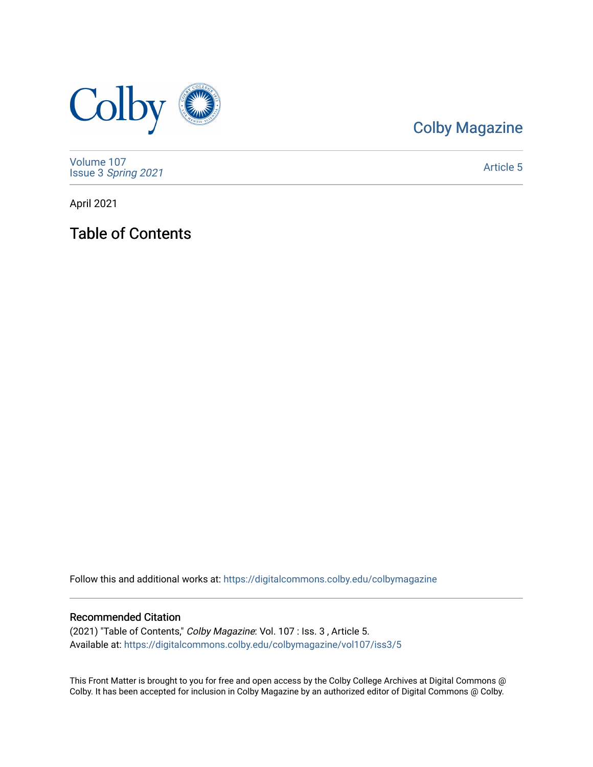

# [Colby Magazine](https://digitalcommons.colby.edu/colbymagazine)

[Volume 107](https://digitalcommons.colby.edu/colbymagazine/vol107) Issue 3 [Spring 2021](https://digitalcommons.colby.edu/colbymagazine/vol107/iss3) 

[Article 5](https://digitalcommons.colby.edu/colbymagazine/vol107/iss3/5) 

April 2021

Table of Contents

Follow this and additional works at: [https://digitalcommons.colby.edu/colbymagazine](https://digitalcommons.colby.edu/colbymagazine?utm_source=digitalcommons.colby.edu%2Fcolbymagazine%2Fvol107%2Fiss3%2F5&utm_medium=PDF&utm_campaign=PDFCoverPages)

## Recommended Citation

(2021) "Table of Contents," Colby Magazine: Vol. 107 : Iss. 3 , Article 5. Available at: [https://digitalcommons.colby.edu/colbymagazine/vol107/iss3/5](https://digitalcommons.colby.edu/colbymagazine/vol107/iss3/5?utm_source=digitalcommons.colby.edu%2Fcolbymagazine%2Fvol107%2Fiss3%2F5&utm_medium=PDF&utm_campaign=PDFCoverPages) 

This Front Matter is brought to you for free and open access by the Colby College Archives at Digital Commons @ Colby. It has been accepted for inclusion in Colby Magazine by an authorized editor of Digital Commons @ Colby.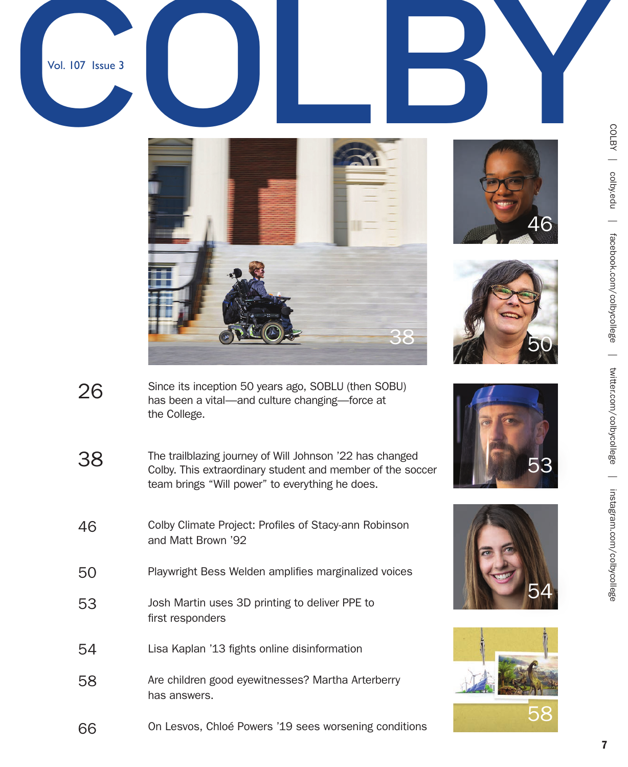







- Since its inception 50 years ago, SOBLU (then SOBU) has been a vital—and culture changing—force at the College. 26
- The trailblazing journey of Will Johnson '22 has changed Colby. This extraordinary student and member of the soccer team brings "Will power" to everything he does. 38







COLBY | colby.edu | colby.edu | facebook.com/colbycollege | twitter.com/colbycollege | instagram.com/colbycollege  $\equiv$ facebook.com/colbycollege  $\frac{1}{\sqrt{2}}$ twitter.com/colbycollege  $\overline{\phantom{0}}$ instagram.com/colbycollege

- Colby Climate Project: Profiles of Stacy-ann Robinson and Matt Brown '92 46
- Playwright Bess Welden amplifies marginalized voices 50
- Josh Martin uses 3D printing to deliver PPE to first responders 53
- Lisa Kaplan '13 fights online disinformation 54
- Are children good eyewitnesses? Martha Arterberry has answers. 58
- On Lesvos, Chloé Powers '19 sees worsening conditions 66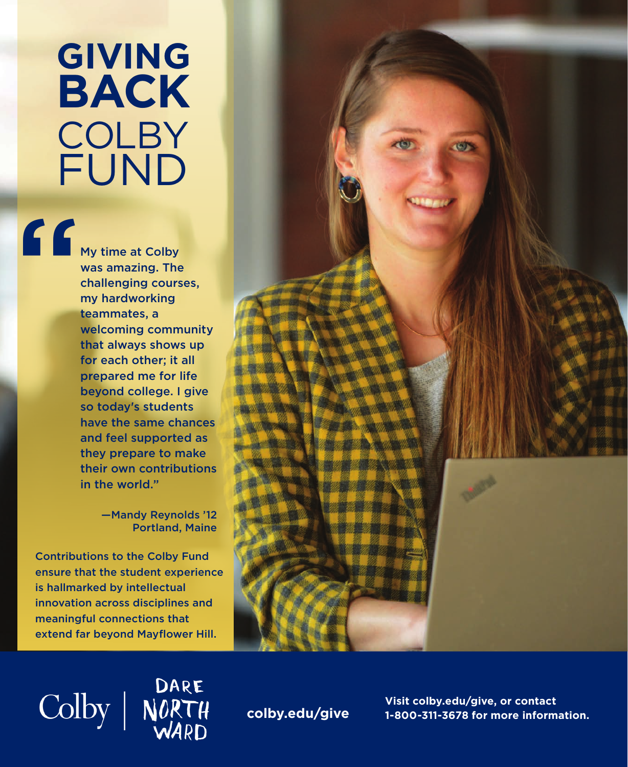# **GIVING BACK COLBY** FUND

The My ti<br>
Was a<br>
chall<br>
my h<br>
team<br>
welc My time at Colby was amazing. The challenging courses, my hardworking teammates, a welcoming community that always shows up for each other; it all prepared me for life beyond college. I give so today's students have the same chances and feel supported as they prepare to make their own contributions in the world."

> —Mandy Reynolds '12 Portland, Maine

Contributions to the Colby Fund ensure that the student experience is hallmarked by intellectual innovation across disciplines and meaningful connections that extend far beyond Mayflower Hill.

Colby | NORTH



**colby.edu/give**

**Visit colby.edu/give, or contact 1-800-311-3678 for more information.**